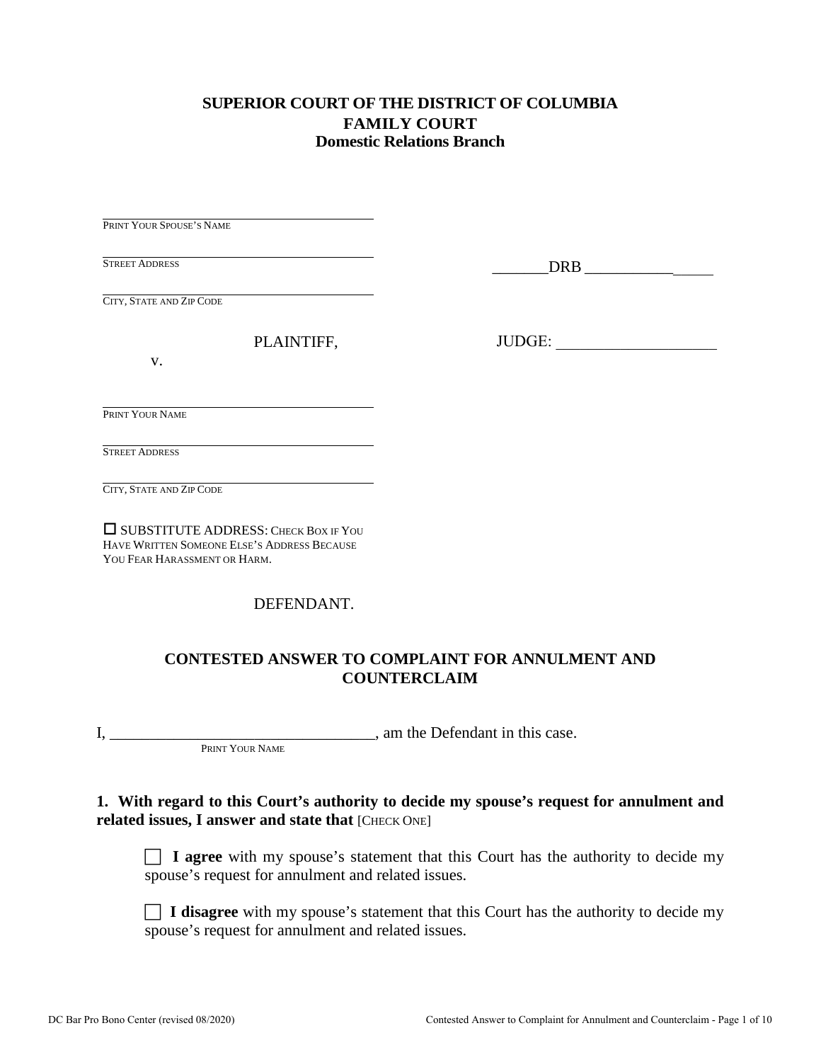### **SUPERIOR COURT OF THE DISTRICT OF COLUMBIA FAMILY COURT Domestic Relations Branch**

PRINT YOUR SPOUSE'S NAME

STREET ADDRESS

\_\_\_\_\_\_\_DRB \_\_\_\_\_\_\_\_\_\_\_\_\_\_\_\_

JUDGE: \_\_\_\_\_\_\_\_\_\_\_\_\_\_\_\_\_\_\_\_

CITY, STATE AND ZIP CODE

PLAINTIFF,

v.

PRINT YOUR NAME

STREET ADDRESS

CITY, STATE AND ZIP CODE

 SUBSTITUTE ADDRESS: CHECK BOX IF YOU HAVE WRITTEN SOMEONE ELSE'S ADDRESS BECAUSE YOU FEAR HARASSMENT OR HARM.

DEFENDANT.

### **CONTESTED ANSWER TO COMPLAINT FOR ANNULMENT AND COUNTERCLAIM**

I, \_\_\_\_\_\_\_\_\_\_\_\_\_\_\_\_\_\_\_\_\_\_\_\_\_\_\_\_\_\_\_\_\_, am the Defendant in this case. PRINT YOUR NAME

### **1. With regard to this Court's authority to decide my spouse's request for annulment and related issues, I answer and state that [CHECK ONE]**

 **I agree** with my spouse's statement that this Court has the authority to decide my spouse's request for annulment and related issues.

**I disagree** with my spouse's statement that this Court has the authority to decide my spouse's request for annulment and related issues.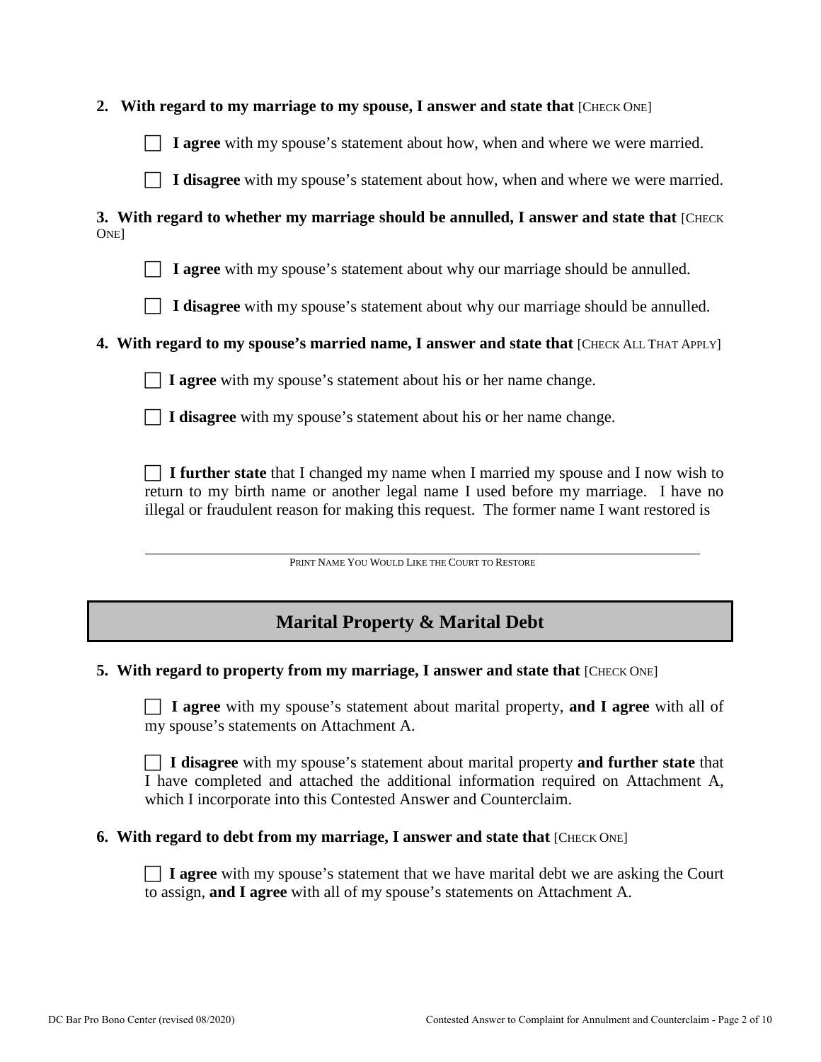|  | 2. With regard to my marriage to my spouse, I answer and state that [CHECK ONE] |  |  |  |  |  |  |  |  |  |  |
|--|---------------------------------------------------------------------------------|--|--|--|--|--|--|--|--|--|--|
|--|---------------------------------------------------------------------------------|--|--|--|--|--|--|--|--|--|--|

**I agree** with my spouse's statement about how, when and where we were married.

**I disagree** with my spouse's statement about how, when and where we were married.

**3. With regard to whether my marriage should be annulled, I answer and state that** [CHECK] **ONE** 

**I agree** with my spouse's statement about why our marriage should be annulled.

**I disagree** with my spouse's statement about why our marriage should be annulled.

### **4. With regard to my spouse's married name, I answer and state that** [CHECK ALL THAT APPLY]

**I agree** with my spouse's statement about his or her name change.

**I disagree** with my spouse's statement about his or her name change.

 **I further state** that I changed my name when I married my spouse and I now wish to return to my birth name or another legal name I used before my marriage. I have no illegal or fraudulent reason for making this request. The former name I want restored is

PRINT NAME YOU WOULD LIKE THE COURT TO RESTORE

# **Marital Property & Marital Debt**

#### **5. With regard to property from my marriage, I answer and state that [CHECK ONE]**

 **I agree** with my spouse's statement about marital property, **and I agree** with all of my spouse's statements on Attachment A.

 **I disagree** with my spouse's statement about marital property **and further state** that I have completed and attached the additional information required on Attachment A, which I incorporate into this Contested Answer and Counterclaim.

#### **6. With regard to debt from my marriage, I answer and state that** [CHECK ONE]

 **I agree** with my spouse's statement that we have marital debt we are asking the Court to assign, **and I agree** with all of my spouse's statements on Attachment A.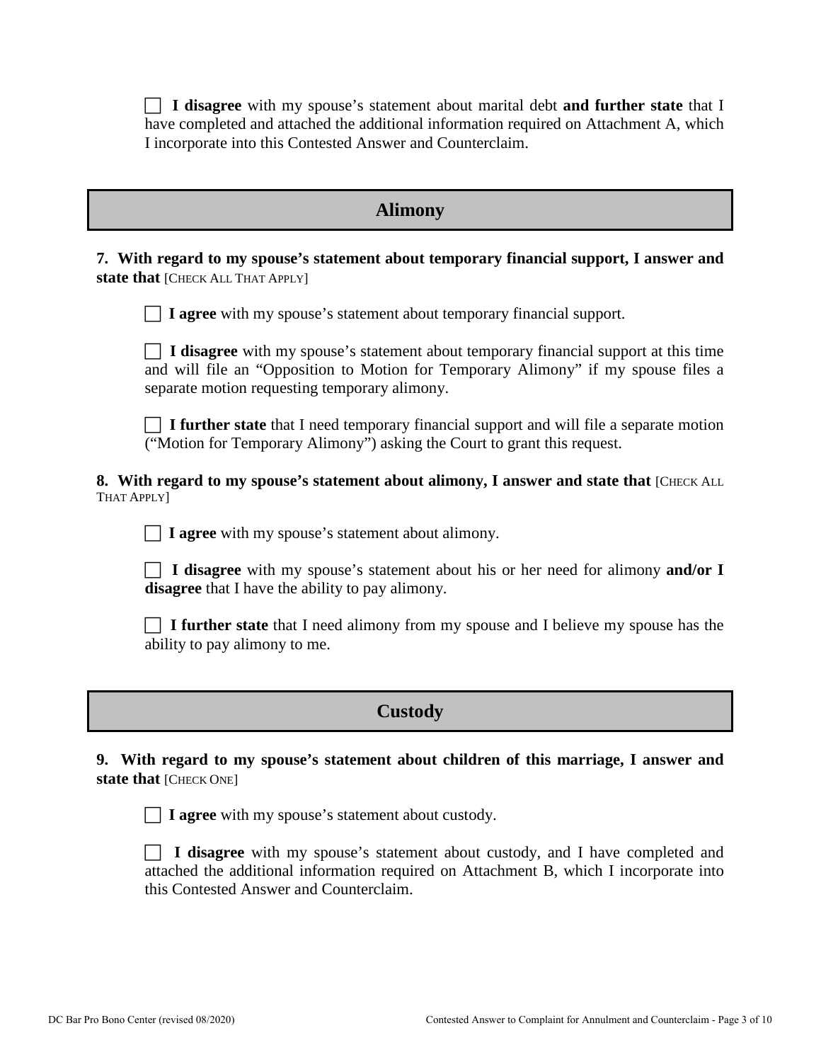**I disagree** with my spouse's statement about marital debt **and further state** that I have completed and attached the additional information required on Attachment A, which I incorporate into this Contested Answer and Counterclaim.

### **Alimony**

**7. With regard to my spouse's statement about temporary financial support, I answer and** state that [CHECK ALL THAT APPLY]

**I agree** with my spouse's statement about temporary financial support.

 **I disagree** with my spouse's statement about temporary financial support at this time and will file an "Opposition to Motion for Temporary Alimony" if my spouse files a separate motion requesting temporary alimony.

 **I further state** that I need temporary financial support and will file a separate motion ("Motion for Temporary Alimony") asking the Court to grant this request.

**8. With regard to my spouse's statement about alimony, I answer and state that** [CHECK ALL THAT APPLY]

**I** agree with my spouse's statement about alimony.

 **I disagree** with my spouse's statement about his or her need for alimony **and/or I disagree** that I have the ability to pay alimony.

 **I further state** that I need alimony from my spouse and I believe my spouse has the ability to pay alimony to me.

# **Custody**

**9. With regard to my spouse's statement about children of this marriage, I answer and state that [CHECK ONE]** 



**I** agree with my spouse's statement about custody.

 **I disagree** with my spouse's statement about custody, and I have completed and attached the additional information required on Attachment B, which I incorporate into this Contested Answer and Counterclaim.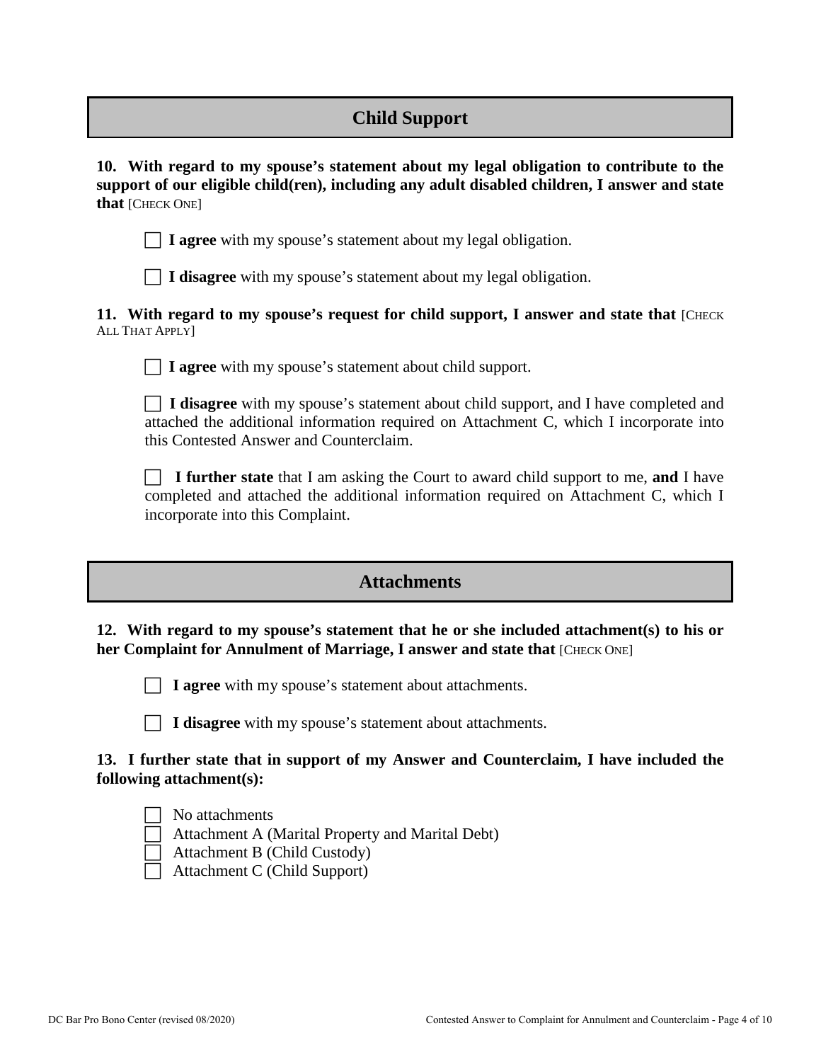# **Child Support**

**10. With regard to my spouse's statement about my legal obligation to contribute to the support of our eligible child(ren), including any adult disabled children, I answer and state that** [CHECK ONE]

**I agree** with my spouse's statement about my legal obligation.

**I disagree** with my spouse's statement about my legal obligation.

**11.** With regard to my spouse's request for child support, I answer and state that [CHECK] ALL THAT APPLY]

**I agree** with my spouse's statement about child support.

 **I disagree** with my spouse's statement about child support, and I have completed and attached the additional information required on Attachment C, which I incorporate into this Contested Answer and Counterclaim.

 **I further state** that I am asking the Court to award child support to me, **and** I have completed and attached the additional information required on Attachment C, which I incorporate into this Complaint.

### **Attachments**

### **12. With regard to my spouse's statement that he or she included attachment(s) to his or her Complaint for Annulment of Marriage, I answer and state that [CHECK ONE]**



**I** agree with my spouse's statement about attachments.

**I disagree** with my spouse's statement about attachments.

### **13. I further state that in support of my Answer and Counterclaim, I have included the following attachment(s):**

| O<br>J. |
|---------|
| Atta    |
|         |

attachments achment A (Marital Property and Marital Debt)

 $\Box$  Attachment B (Child Custody)

Attachment C (Child Support)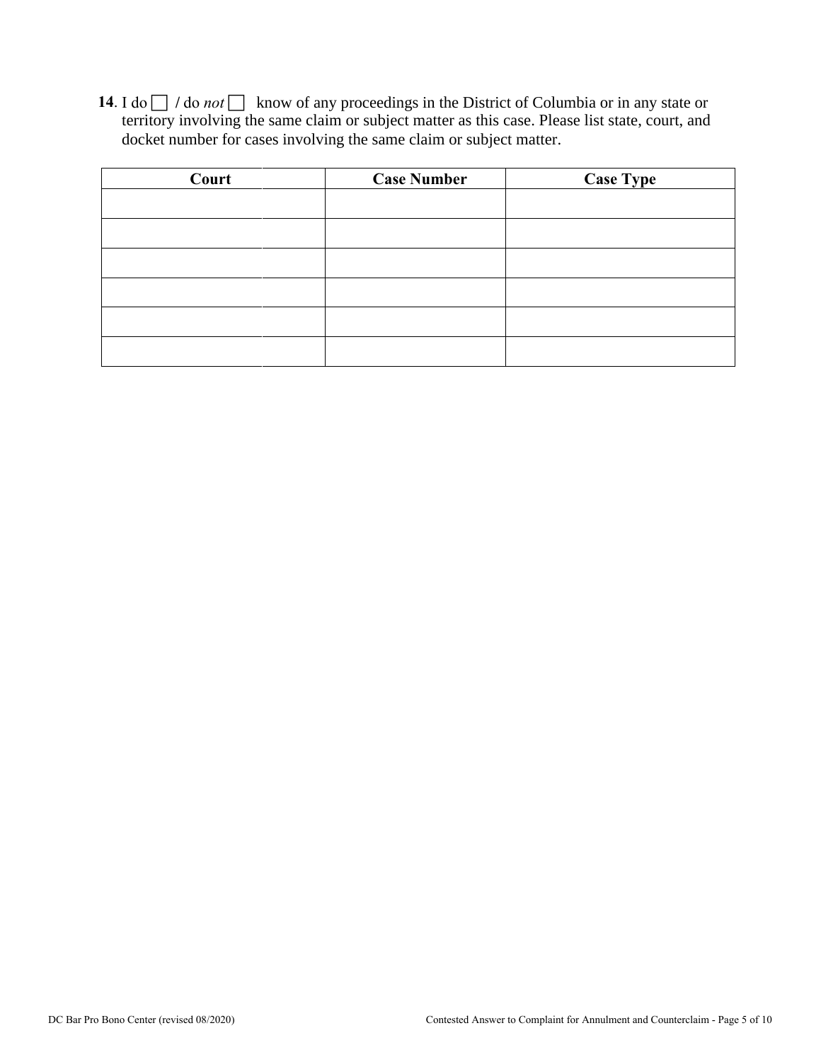14. I do  $\Box$  / do *not*  $\Box$  know of any proceedings in the District of Columbia or in any state or territory involving the same claim or subject matter as this case. Please list state, court, and docket number for cases involving the same claim or subject matter.

| Court | <b>Case Number</b> | Case Type |
|-------|--------------------|-----------|
|       |                    |           |
|       |                    |           |
|       |                    |           |
|       |                    |           |
|       |                    |           |
|       |                    |           |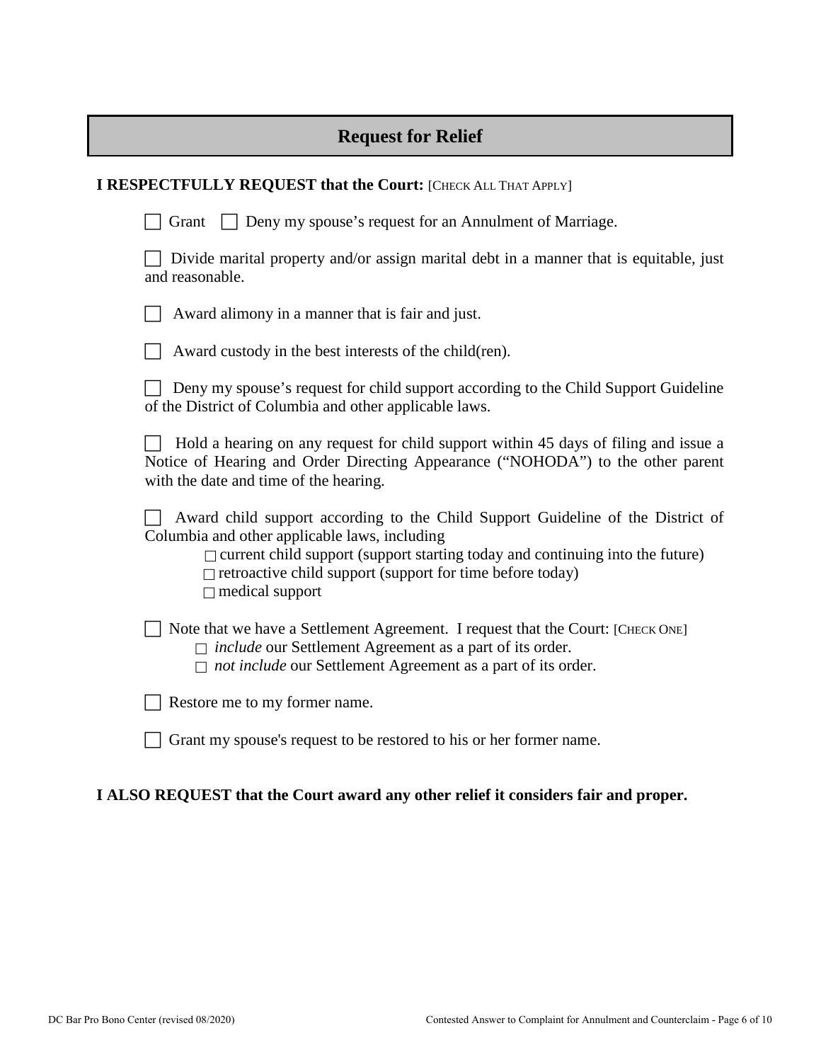# **Request for Relief**

| <b>I RESPECTFULLY REQUEST that the Court: [CHECK ALL THAT APPLY]</b>                                                                                                                                                                                                                                                   |
|------------------------------------------------------------------------------------------------------------------------------------------------------------------------------------------------------------------------------------------------------------------------------------------------------------------------|
| <b>Deny my spouse's request for an Annulment of Marriage.</b><br>Grant                                                                                                                                                                                                                                                 |
| Divide marital property and/or assign marital debt in a manner that is equitable, just<br>and reasonable.                                                                                                                                                                                                              |
| Award alimony in a manner that is fair and just.                                                                                                                                                                                                                                                                       |
| Award custody in the best interests of the child(ren).                                                                                                                                                                                                                                                                 |
| Deny my spouse's request for child support according to the Child Support Guideline<br>of the District of Columbia and other applicable laws.                                                                                                                                                                          |
| Hold a hearing on any request for child support within 45 days of filing and issue a<br>Notice of Hearing and Order Directing Appearance ("NOHODA") to the other parent<br>with the date and time of the hearing.                                                                                                      |
| Award child support according to the Child Support Guideline of the District of<br>Columbia and other applicable laws, including<br>$\Box$ current child support (support starting today and continuing into the future)<br>$\Box$ retroactive child support (support for time before today)<br>$\Box$ medical support |
| Note that we have a Settlement Agreement. I request that the Court: [CHECK ONE]<br>$\Box$ include our Settlement Agreement as a part of its order.<br>$\Box$ not include our Settlement Agreement as a part of its order.                                                                                              |
| Restore me to my former name.                                                                                                                                                                                                                                                                                          |
| Grant my spouse's request to be restored to his or her former name.                                                                                                                                                                                                                                                    |
| I ALSO REQUEST that the Court award any other relief it considers fair and proper.                                                                                                                                                                                                                                     |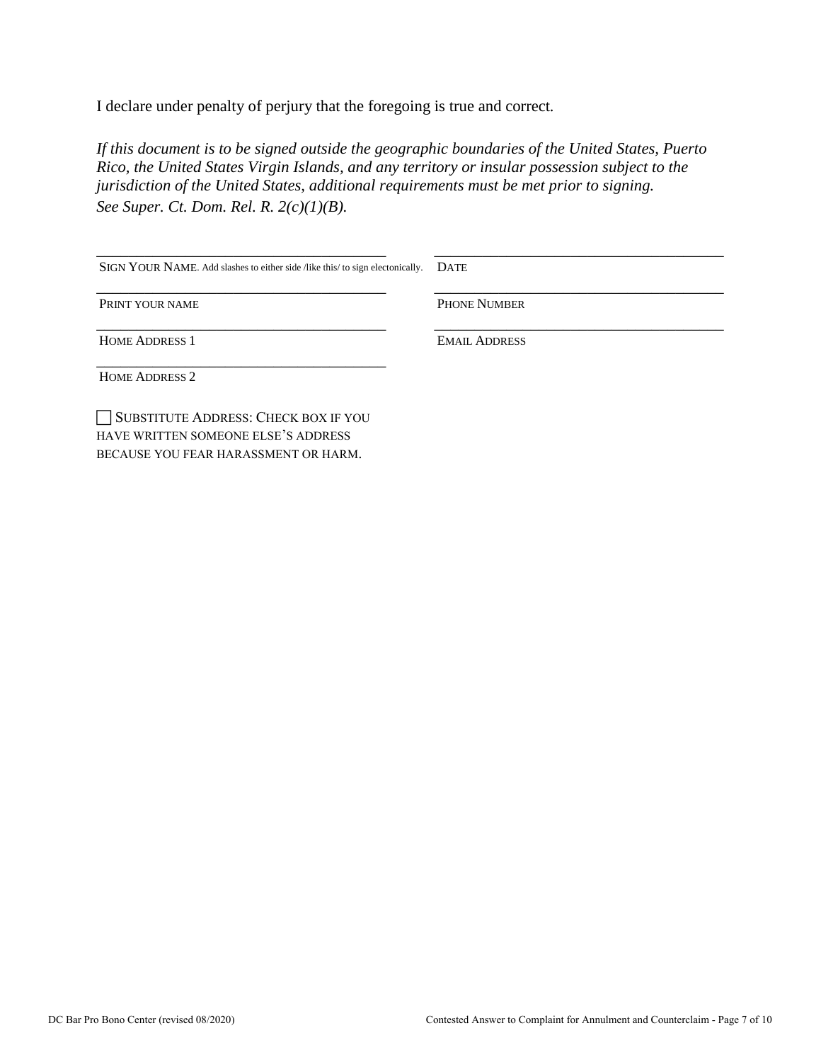I declare under penalty of perjury that the foregoing is true and correct*.* 

*If this document is to be signed outside the geographic boundaries of the United States, Puerto Rico, the United States Virgin Islands, and any territory or insular possession subject to the jurisdiction of the United States, additional requirements must be met prior to signing. See Super. Ct. Dom. Rel. R. 2(c)(1)(B).*

| SIGN YOUR NAME. Add slashes to either side /like this/ to sign electonically. | <b>DATE</b>          |
|-------------------------------------------------------------------------------|----------------------|
| PRINT YOUR NAME                                                               | <b>PHONE NUMBER</b>  |
| <b>HOME ADDRESS 1</b>                                                         | <b>EMAIL ADDRESS</b> |
| <b>HOME ADDRESS 2</b>                                                         |                      |
| SUBSTITUTE ADDRESS: CHECK BOX IF YOU<br>HAVE WRITTEN SOMEONE ELSE'S ADDRESS   |                      |

BECAUSE YOU FEAR HARASSMENT OR HARM.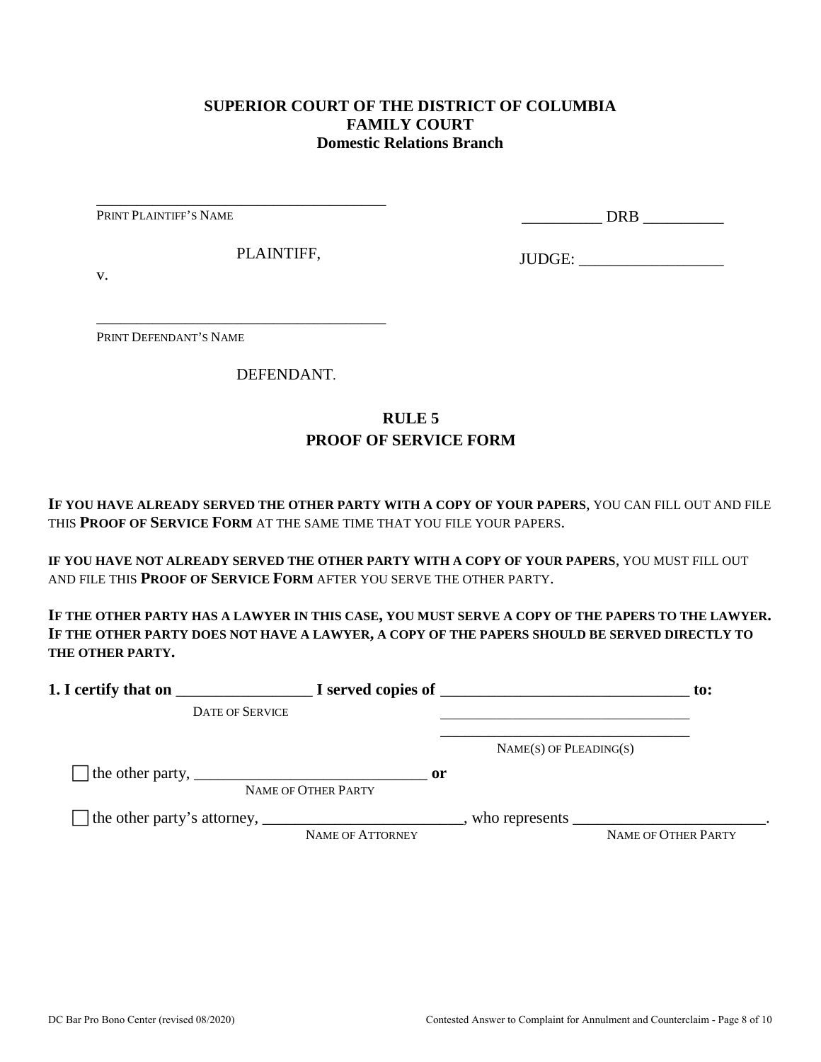### **SUPERIOR COURT OF THE DISTRICT OF COLUMBIA FAMILY COURT Domestic Relations Branch**

PRINT PLAINTIFF'S NAME

\_\_\_\_\_\_\_\_\_\_ DRB \_\_\_\_\_\_\_\_\_\_

PLAINTIFF,

\_\_\_\_\_\_\_\_\_\_\_\_\_\_\_\_\_\_\_\_\_\_\_\_\_\_\_\_\_\_\_\_\_\_\_\_

\_\_\_\_\_\_\_\_\_\_\_\_\_\_\_\_\_\_\_\_\_\_\_\_\_\_\_\_\_\_\_\_\_\_\_\_

JUDGE: \_\_\_\_\_\_\_\_\_\_\_\_\_\_\_\_\_\_

v.

PRINT DEFENDANT'S NAME

DEFENDANT.

### **RULE 5 PROOF OF SERVICE FORM**

**IF YOU HAVE ALREADY SERVED THE OTHER PARTY WITH A COPY OF YOUR PAPERS**, YOU CAN FILL OUT AND FILE THIS **PROOF OF SERVICE FORM** AT THE SAME TIME THAT YOU FILE YOUR PAPERS.

**IF YOU HAVE NOT ALREADY SERVED THE OTHER PARTY WITH A COPY OF YOUR PAPERS**, YOU MUST FILL OUT AND FILE THIS **PROOF OF SERVICE FORM** AFTER YOU SERVE THE OTHER PARTY.

**IF THE OTHER PARTY HAS A LAWYER IN THIS CASE, YOU MUST SERVE A COPY OF THE PAPERS TO THE LAWYER. IF THE OTHER PARTY DOES NOT HAVE A LAWYER, A COPY OF THE PAPERS SHOULD BE SERVED DIRECTLY TO THE OTHER PARTY.** 

| 1. I certify that on                                                                                      |                                      | $\blacksquare$ $\blacksquare$ I served copies of $\blacksquare$ |                            |  |
|-----------------------------------------------------------------------------------------------------------|--------------------------------------|-----------------------------------------------------------------|----------------------------|--|
| <b>DATE OF SERVICE</b>                                                                                    |                                      |                                                                 |                            |  |
|                                                                                                           |                                      | $NAME(S)$ OF PLEADING(S)                                        |                            |  |
| The other party, $\frac{1}{\sqrt{1-\frac{1}{2}}}\left\lfloor \frac{1}{2}\right\rfloor$                    | $\mathbf{or}$<br>NAME OF OTHER PARTY |                                                                 |                            |  |
| The other party's attorney, _______________________________, who represents ____________________________. | NAME OF ATTORNEY                     |                                                                 | <b>NAME OF OTHER PARTY</b> |  |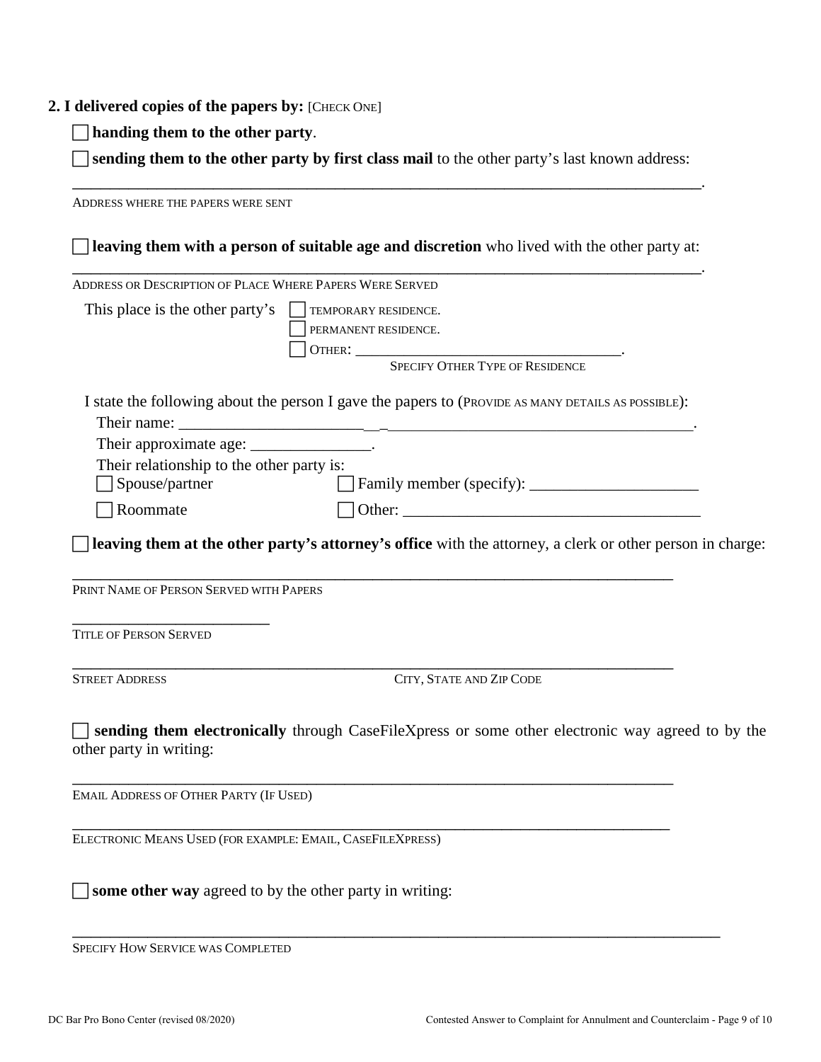#### **2. I delivered copies of the papers by:** [CHECK ONE]

**handing them to the other party**.

 **sending them to the other party by first class mail** to the other party's last known address: \_\_\_\_\_\_\_\_\_\_\_\_\_\_\_\_\_\_\_\_\_\_\_\_\_\_\_\_\_\_\_\_\_\_\_\_\_\_\_\_\_\_\_\_\_\_\_\_\_\_\_\_\_\_\_\_\_\_\_\_\_\_\_\_\_\_\_.

ADDRESS WHERE THE PAPERS WERE SENT **leaving them with a person of suitable age and discretion** who lived with the other party at: \_\_\_\_\_\_\_\_\_\_\_\_\_\_\_\_\_\_\_\_\_\_\_\_\_\_\_\_\_\_\_\_\_\_\_\_\_\_\_\_\_\_\_\_\_\_\_\_\_\_\_\_\_\_\_\_\_\_\_\_\_\_\_\_\_\_\_. ADDRESS OR DESCRIPTION OF PLACE WHERE PAPERS WERE SERVED This place is the other party's  $\Box$  TEMPORARY RESIDENCE. PERMANENT RESIDENCE. OTHER: \_\_\_\_\_\_\_\_\_\_\_\_\_\_\_\_\_\_\_\_\_\_\_\_\_\_\_\_\_\_\_\_\_. SPECIFY OTHER TYPE OF RESIDENCE I state the following about the person I gave the papers to (PROVIDE AS MANY DETAILS AS POSSIBLE): Their name: Their approximate age: \_\_\_\_\_\_\_\_\_\_\_\_\_\_\_\_. Their relationship to the other party is: Spouse/partner Family member (specify): \_\_\_\_\_\_\_\_\_\_\_\_\_\_\_\_\_\_\_\_\_  $\Box$  Roommate  $\Box$  Other: **leaving them at the other party's attorney's office** with the attorney, a clerk or other person in charge: \_\_\_\_\_\_\_\_\_\_\_\_\_\_\_\_\_\_\_\_\_\_\_\_\_\_\_\_\_\_\_\_\_\_\_\_\_\_\_\_\_\_\_\_\_\_\_\_\_\_\_\_\_\_\_\_\_\_\_\_\_\_\_\_ PRINT NAME OF PERSON SERVED WITH PAPERS \_\_\_\_\_\_\_\_\_\_\_\_\_\_\_\_\_\_\_\_\_ TITLE OF PERSON SERVED \_\_\_\_\_\_\_\_\_\_\_\_\_\_\_\_\_\_\_\_\_\_\_\_\_\_\_\_\_\_\_\_\_\_\_\_\_\_\_\_\_\_\_\_\_\_\_\_\_\_\_\_\_\_\_\_\_\_\_\_\_\_\_\_ STREET ADDRESS CITY, STATE AND ZIP CODE **sending them electronically** through CaseFileXpress or some other electronic way agreed to by the other party in writing: \_\_\_\_\_\_\_\_\_\_\_\_\_\_\_\_\_\_\_\_\_\_\_\_\_\_\_\_\_\_\_\_\_\_\_\_\_\_\_\_\_\_\_\_\_\_\_\_\_\_\_\_\_\_\_\_\_\_\_\_\_\_\_\_ EMAIL ADDRESS OF OTHER PARTY (IF USED) \_\_\_\_\_\_\_\_\_\_\_\_\_\_\_\_\_\_\_\_\_\_\_\_\_\_\_\_\_\_\_\_\_\_\_\_\_\_\_\_\_\_\_\_\_\_\_\_\_\_\_\_\_\_\_\_\_\_\_\_\_\_\_\_ ELECTRONIC MEANS USED (FOR EXAMPLE: EMAIL, CASEFILEXPRESS) **some other way** agreed to by the other party in writing:

\_\_\_\_\_\_\_\_\_\_\_\_\_\_\_\_\_\_\_\_\_\_\_\_\_\_\_\_\_\_\_\_\_\_\_\_\_\_\_\_\_\_\_\_\_\_\_\_\_\_\_\_\_\_\_\_\_\_\_\_\_\_\_\_\_\_\_\_\_ SPECIFY HOW SERVICE WAS COMPLETED